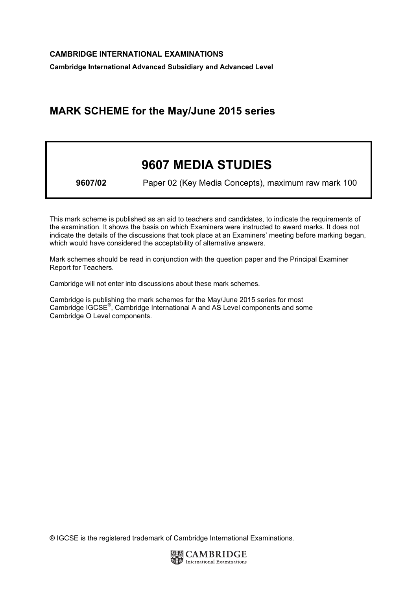Cambridge International Advanced Subsidiary and Advanced Level

## MARK SCHEME for the May/June 2015 series

# 9607 MEDIA STUDIES

9607/02 Paper 02 (Key Media Concepts), maximum raw mark 100

This mark scheme is published as an aid to teachers and candidates, to indicate the requirements of the examination. It shows the basis on which Examiners were instructed to award marks. It does not indicate the details of the discussions that took place at an Examiners' meeting before marking began, which would have considered the acceptability of alternative answers.

Mark schemes should be read in conjunction with the question paper and the Principal Examiner Report for Teachers.

Cambridge will not enter into discussions about these mark schemes.

Cambridge is publishing the mark schemes for the May/June 2015 series for most Cambridge IGCSE*®* , Cambridge International A and AS Level components and some Cambridge O Level components.

® IGCSE is the registered trademark of Cambridge International Examinations.

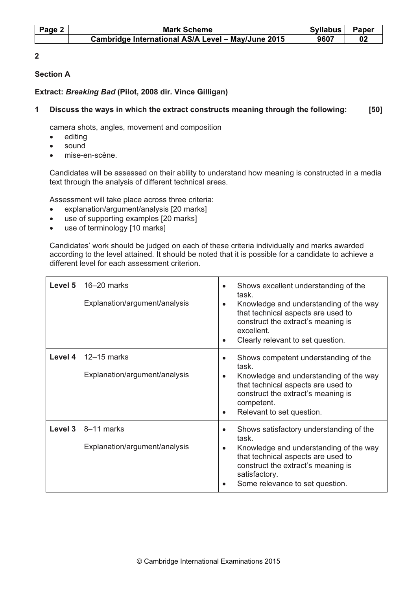| Page 2 | <b>Mark Scheme</b>                                 |      | Syllabus<br>Paper |
|--------|----------------------------------------------------|------|-------------------|
|        | Cambridge International AS/A Level - May/June 2015 | 9607 |                   |

 $\overline{\mathbf{c}}$ 

## Section A

## Extract: Breaking Bad (Pilot, 2008 dir. Vince Gilligan)

## 1 Discuss the ways in which the extract constructs meaning through the following: [50]

camera shots, angles, movement and composition

- editing
- sound
- mise-en-scène.

Candidates will be assessed on their ability to understand how meaning is constructed in a media text through the analysis of different technical areas.

Assessment will take place across three criteria:

- explanation/argument/analysis [20 marks]
- use of supporting examples [20 marks]
- use of terminology [10 marks]

Candidates' work should be judged on each of these criteria individually and marks awarded according to the level attained. It should be noted that it is possible for a candidate to achieve a different level for each assessment criterion.

| Level 5 | $16 - 20$ marks<br>Explanation/argument/analysis | Shows excellent understanding of the<br>task.<br>Knowledge and understanding of the way<br>that technical aspects are used to<br>construct the extract's meaning is<br>excellent.<br>Clearly relevant to set question.<br>$\bullet$                  |
|---------|--------------------------------------------------|------------------------------------------------------------------------------------------------------------------------------------------------------------------------------------------------------------------------------------------------------|
| Level 4 | $12-15$ marks<br>Explanation/argument/analysis   | Shows competent understanding of the<br>$\bullet$<br>task.<br>Knowledge and understanding of the way<br>that technical aspects are used to<br>construct the extract's meaning is<br>competent.<br>Relevant to set question.                          |
| Level 3 | 8-11 marks<br>Explanation/argument/analysis      | Shows satisfactory understanding of the<br>$\bullet$<br>task.<br>Knowledge and understanding of the way<br>$\bullet$<br>that technical aspects are used to<br>construct the extract's meaning is<br>satisfactory.<br>Some relevance to set question. |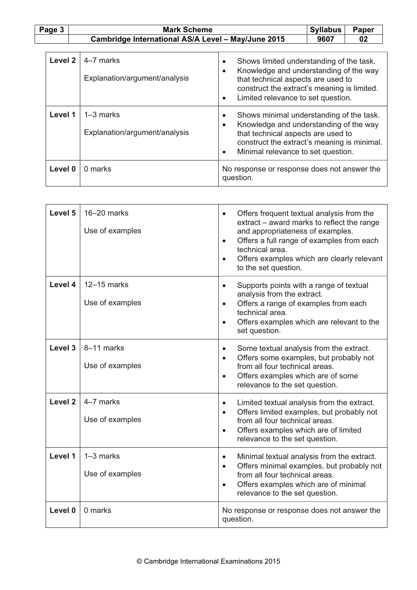## Page 3 | Mark Scheme | Syllabus Paper Cambridge International AS/A Level - May/June 2015

| Syllabus | Pape |
|----------|------|
| 012117   |      |

| Level 2 | 4-7 marks<br>Explanation/argument/analysis     | Shows limited understanding of the task.<br>$\bullet$<br>Knowledge and understanding of the way<br>$\bullet$<br>that technical aspects are used to<br>construct the extract's meaning is limited.<br>Limited relevance to set question.<br>$\bullet$ |
|---------|------------------------------------------------|------------------------------------------------------------------------------------------------------------------------------------------------------------------------------------------------------------------------------------------------------|
| Level 1 | $1 - 3$ marks<br>Explanation/argument/analysis | Shows minimal understanding of the task.<br>$\bullet$<br>Knowledge and understanding of the way<br>$\bullet$<br>that technical aspects are used to<br>construct the extract's meaning is minimal.<br>Minimal relevance to set question.<br>$\bullet$ |
| Level 0 | 0 marks                                        | No response or response does not answer the<br>question.                                                                                                                                                                                             |

| Level 5 | 16-20 marks<br>Use of examples   | Offers frequent textual analysis from the<br>extract – award marks to reflect the range<br>and appropriateness of examples.<br>Offers a full range of examples from each<br>$\bullet$<br>technical area.<br>Offers examples which are clearly relevant<br>$\bullet$<br>to the set question. |
|---------|----------------------------------|---------------------------------------------------------------------------------------------------------------------------------------------------------------------------------------------------------------------------------------------------------------------------------------------|
| Level 4 | $12-15$ marks<br>Use of examples | Supports points with a range of textual<br>$\bullet$<br>analysis from the extract.<br>Offers a range of examples from each<br>$\bullet$<br>technical area.<br>Offers examples which are relevant to the<br>$\bullet$<br>set question.                                                       |
| Level 3 | 8-11 marks<br>Use of examples    | Some textual analysis from the extract.<br>$\bullet$<br>Offers some examples, but probably not<br>$\bullet$<br>from all four technical areas.<br>Offers examples which are of some<br>$\bullet$<br>relevance to the set question.                                                           |
| Level 2 | 4-7 marks<br>Use of examples     | Limited textual analysis from the extract.<br>$\bullet$<br>Offers limited examples, but probably not<br>$\bullet$<br>from all four technical areas.<br>Offers examples which are of limited<br>relevance to the set question.                                                               |
| Level 1 | $1-3$ marks<br>Use of examples   | Minimal textual analysis from the extract.<br>$\bullet$<br>Offers minimal examples, but probably not<br>$\bullet$<br>from all four technical areas.<br>Offers examples which are of minimal<br>$\bullet$<br>relevance to the set question.                                                  |
| Level 0 | 0 marks                          | No response or response does not answer the<br>question.                                                                                                                                                                                                                                    |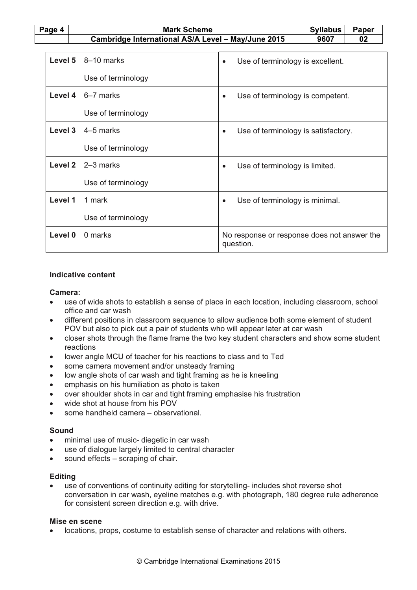Page 4 Nark Scheme Syllabus Paper Syllabus Paper Syllabus Paper Cambridge International AS/A Level – May/June 2015  $\vert$  9607  $\vert$  02

| Level 5 | 8-10 marks         | Use of terminology is excellent.<br>$\bullet$            |
|---------|--------------------|----------------------------------------------------------|
|         |                    |                                                          |
|         | Use of terminology |                                                          |
| Level 4 | 6-7 marks          | Use of terminology is competent.<br>$\bullet$            |
|         | Use of terminology |                                                          |
| Level 3 | 4-5 marks          | Use of terminology is satisfactory.<br>$\bullet$         |
|         | Use of terminology |                                                          |
| Level 2 | $2-3$ marks        | Use of terminology is limited.                           |
|         | Use of terminology |                                                          |
| Level 1 | 1 mark             | Use of terminology is minimal.<br>$\bullet$              |
|         | Use of terminology |                                                          |
| Level 0 | 0 marks            | No response or response does not answer the<br>question. |

#### Indicative content

#### Camera:

- use of wide shots to establish a sense of place in each location, including classroom, school office and car wash
- different positions in classroom sequence to allow audience both some element of student POV but also to pick out a pair of students who will appear later at car wash
- closer shots through the flame frame the two key student characters and show some student reactions
- lower angle MCU of teacher for his reactions to class and to Ted
- some camera movement and/or unsteady framing
- low angle shots of car wash and tight framing as he is kneeling
- emphasis on his humiliation as photo is taken
- over shoulder shots in car and tight framing emphasise his frustration
- wide shot at house from his POV
- some handheld camera observational.

#### Sound

- minimal use of music- diegetic in car wash
- use of dialogue largely limited to central character
- sound effects scraping of chair.

#### **Editing**

use of conventions of continuity editing for storytelling- includes shot reverse shot conversation in car wash, eyeline matches e.g. with photograph, 180 degree rule adherence for consistent screen direction e.g. with drive.

#### Mise en scene

• locations, props, costume to establish sense of character and relations with others.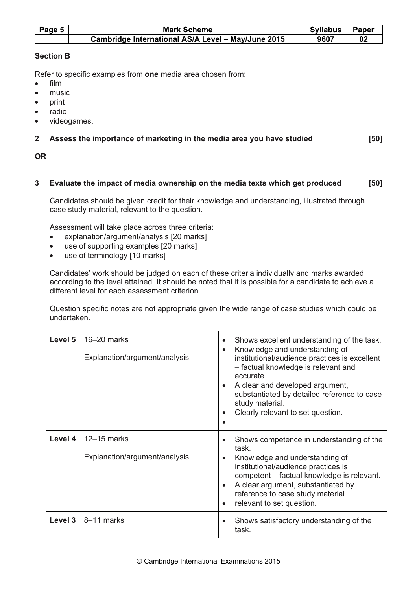| Page 5 $ $ | <b>Mark Scheme</b>                                 |      | Paper<br>Syllabus |
|------------|----------------------------------------------------|------|-------------------|
|            | Cambridge International AS/A Level - May/June 2015 | 9607 |                   |

## Section B

Refer to specific examples from one media area chosen from:

- film
- music
- print
- radio
- videogames.

## 2 Assess the importance of marketing in the media area you have studied [50]

## OR

## 3 Evaluate the impact of media ownership on the media texts which get produced [50]

Candidates should be given credit for their knowledge and understanding, illustrated through case study material, relevant to the question.

Assessment will take place across three criteria:

- explanation/argument/analysis [20 marks]
- use of supporting examples [20 marks]
- use of terminology [10 marks]

Candidates' work should be judged on each of these criteria individually and marks awarded according to the level attained. It should be noted that it is possible for a candidate to achieve a different level for each assessment criterion.

Question specific notes are not appropriate given the wide range of case studies which could be undertaken.

| Level 5 | 16-20 marks<br>Explanation/argument/analysis     | Shows excellent understanding of the task.<br>$\bullet$<br>Knowledge and understanding of<br>$\bullet$<br>institutional/audience practices is excellent<br>- factual knowledge is relevant and<br>accurate.<br>A clear and developed argument,<br>substantiated by detailed reference to case<br>study material.<br>Clearly relevant to set question. |
|---------|--------------------------------------------------|-------------------------------------------------------------------------------------------------------------------------------------------------------------------------------------------------------------------------------------------------------------------------------------------------------------------------------------------------------|
| Level 4 | $12 - 15$ marks<br>Explanation/argument/analysis | Shows competence in understanding of the<br>task.<br>Knowledge and understanding of<br>institutional/audience practices is<br>competent - factual knowledge is relevant.<br>A clear argument, substantiated by<br>reference to case study material.<br>relevant to set question.                                                                      |
| Level 3 | 8–11 marks                                       | Shows satisfactory understanding of the<br>task.                                                                                                                                                                                                                                                                                                      |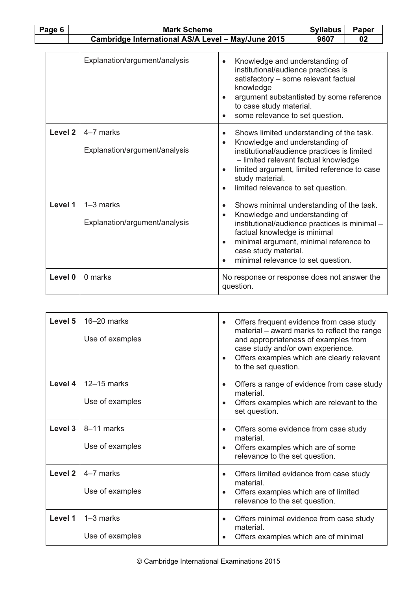| Page 6             |                                                    | <b>Mark Scheme</b>                           |                                                                                                                                                                                                                                                                                                                  |    | Paper |
|--------------------|----------------------------------------------------|----------------------------------------------|------------------------------------------------------------------------------------------------------------------------------------------------------------------------------------------------------------------------------------------------------------------------------------------------------------------|----|-------|
|                    | Cambridge International AS/A Level - May/June 2015 |                                              | 9607                                                                                                                                                                                                                                                                                                             | 02 |       |
|                    |                                                    | Explanation/argument/analysis                | Knowledge and understanding of<br>$\bullet$<br>institutional/audience practices is<br>satisfactory - some relevant factual<br>knowledge<br>argument substantiated by some reference<br>to case study material.<br>some relevance to set question.                                                                |    |       |
| Level <sub>2</sub> |                                                    | 4-7 marks<br>Explanation/argument/analysis   | Shows limited understanding of the task.<br>$\bullet$<br>Knowledge and understanding of<br>$\bullet$<br>institutional/audience practices is limited<br>- limited relevant factual knowledge<br>limited argument, limited reference to case<br>study material.<br>limited relevance to set question.<br>$\bullet$ |    |       |
| Level 1            |                                                    | $1-3$ marks<br>Explanation/argument/analysis | Shows minimal understanding of the task.<br>$\bullet$<br>Knowledge and understanding of<br>$\bullet$<br>institutional/audience practices is minimal -<br>factual knowledge is minimal<br>minimal argument, minimal reference to<br>$\bullet$<br>case study material.<br>minimal relevance to set question.       |    |       |
| Level 0            |                                                    | 0 marks                                      | No response or response does not answer the<br>question.                                                                                                                                                                                                                                                         |    |       |

| Level 5 | $16 - 20$ marks<br>Use of examples | Offers frequent evidence from case study<br>material – award marks to reflect the range<br>and appropriateness of examples from<br>case study and/or own experience.<br>Offers examples which are clearly relevant<br>$\bullet$<br>to the set question. |
|---------|------------------------------------|---------------------------------------------------------------------------------------------------------------------------------------------------------------------------------------------------------------------------------------------------------|
| Level 4 | $12-15$ marks<br>Use of examples   | Offers a range of evidence from case study<br>material<br>Offers examples which are relevant to the<br>$\bullet$<br>set question.                                                                                                                       |
| Level 3 | 8-11 marks<br>Use of examples      | Offers some evidence from case study<br>material<br>Offers examples which are of some<br>relevance to the set question.                                                                                                                                 |
| Level 2 | 4-7 marks<br>Use of examples       | Offers limited evidence from case study<br>material.<br>Offers examples which are of limited<br>$\bullet$<br>relevance to the set question.                                                                                                             |
| Level 1 | $1-3$ marks<br>Use of examples     | Offers minimal evidence from case study<br>$\bullet$<br>material<br>Offers examples which are of minimal                                                                                                                                                |